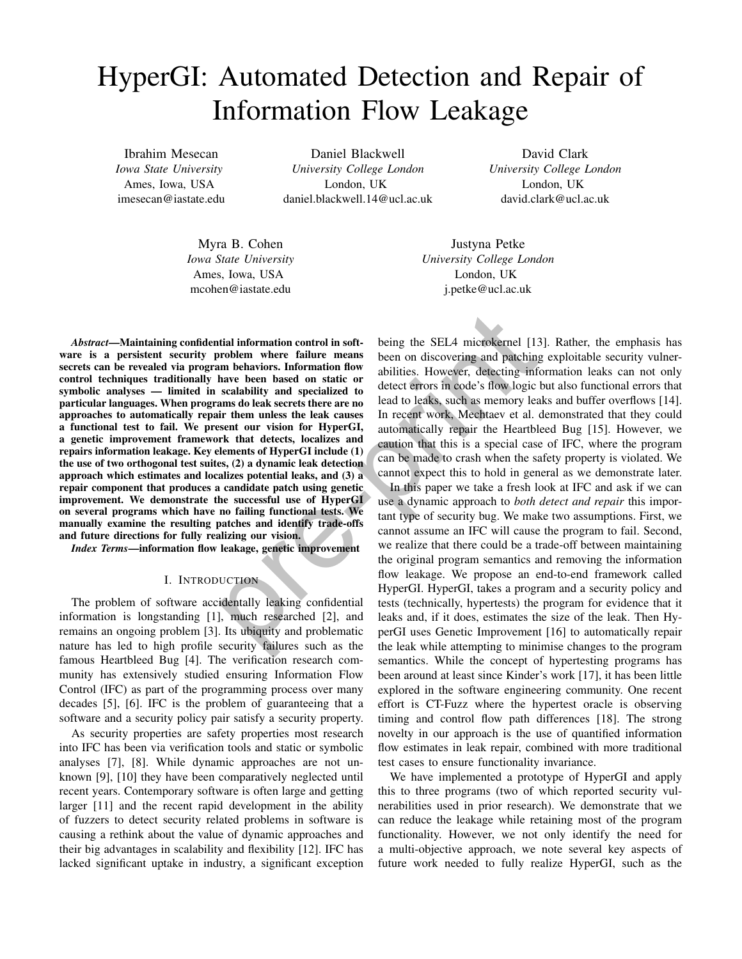# HyperGI: Automated Detection and Repair of Information Flow Leakage

Ibrahim Mesecan *Iowa State University* Ames, Iowa, USA imesecan@iastate.edu

Daniel Blackwell *University College London* London, UK daniel.blackwell.14@ucl.ac.uk

David Clark *University College London* London, UK david.clark@ucl.ac.uk

Myra B. Cohen *Iowa State University* Ames, Iowa, USA mcohen@iastate.edu

Justyna Petke *University College London* London, UK j.petke@ucl.ac.uk

*Abstract*—Maintaining confidential information control in software is a persistent security problem where failure means secrets can be revealed via program behaviors. Information flow control techniques traditionally have been based on static or symbolic analyses — limited in scalability and specialized to particular languages. When programs do leak secrets there are no approaches to automatically repair them unless the leak causes a functional test to fail. We present our vision for HyperGI, a genetic improvement framework that detects, localizes and repairs information leakage. Key elements of HyperGI include (1) the use of two orthogonal test suites, (2) a dynamic leak detection approach which estimates and localizes potential leaks, and (3) a repair component that produces a candidate patch using genetic improvement. We demonstrate the successful use of HyperGI on several programs which have no failing functional tests. We manually examine the resulting patches and identify trade-offs and future directions for fully realizing our vision. tial information control in soft-<br>being the SEL4 microkernel [13]<br>roblem where failure means been on discovering and patching<br>m behaviors. Information flow<br>abilities. However, detecting infance been based on state or<br>diffe

*Index Terms*—information flow leakage, genetic improvement

# I. INTRODUCTION

The problem of software accidentally leaking confidential information is longstanding [1], much researched [2], and remains an ongoing problem [3]. Its ubiquity and problematic nature has led to high profile security failures such as the famous Heartbleed Bug [4]. The verification research community has extensively studied ensuring Information Flow Control (IFC) as part of the programming process over many decades [5], [6]. IFC is the problem of guaranteeing that a software and a security policy pair satisfy a security property.

As security properties are safety properties most research into IFC has been via verification tools and static or symbolic analyses [7], [8]. While dynamic approaches are not unknown [9], [10] they have been comparatively neglected until recent years. Contemporary software is often large and getting larger [11] and the recent rapid development in the ability of fuzzers to detect security related problems in software is causing a rethink about the value of dynamic approaches and their big advantages in scalability and flexibility [12]. IFC has lacked significant uptake in industry, a significant exception being the SEL4 microkernel [13]. Rather, the emphasis has been on discovering and patching exploitable security vulnerabilities. However, detecting information leaks can not only detect errors in code's flow logic but also functional errors that lead to leaks, such as memory leaks and buffer overflows [14]. In recent work, Mechtaev et al. demonstrated that they could automatically repair the Heartbleed Bug [15]. However, we caution that this is a special case of IFC, where the program can be made to crash when the safety property is violated. We cannot expect this to hold in general as we demonstrate later.

In this paper we take a fresh look at IFC and ask if we can use a dynamic approach to *both detect and repair* this important type of security bug. We make two assumptions. First, we cannot assume an IFC will cause the program to fail. Second, we realize that there could be a trade-off between maintaining the original program semantics and removing the information flow leakage. We propose an end-to-end framework called HyperGI. HyperGI, takes a program and a security policy and tests (technically, hypertests) the program for evidence that it leaks and, if it does, estimates the size of the leak. Then HyperGI uses Genetic Improvement [16] to automatically repair the leak while attempting to minimise changes to the program semantics. While the concept of hypertesting programs has been around at least since Kinder's work [17], it has been little explored in the software engineering community. One recent effort is CT-Fuzz where the hypertest oracle is observing timing and control flow path differences [18]. The strong novelty in our approach is the use of quantified information flow estimates in leak repair, combined with more traditional test cases to ensure functionality invariance.

We have implemented a prototype of HyperGI and apply this to three programs (two of which reported security vulnerabilities used in prior research). We demonstrate that we can reduce the leakage while retaining most of the program functionality. However, we not only identify the need for a multi-objective approach, we note several key aspects of future work needed to fully realize HyperGI, such as the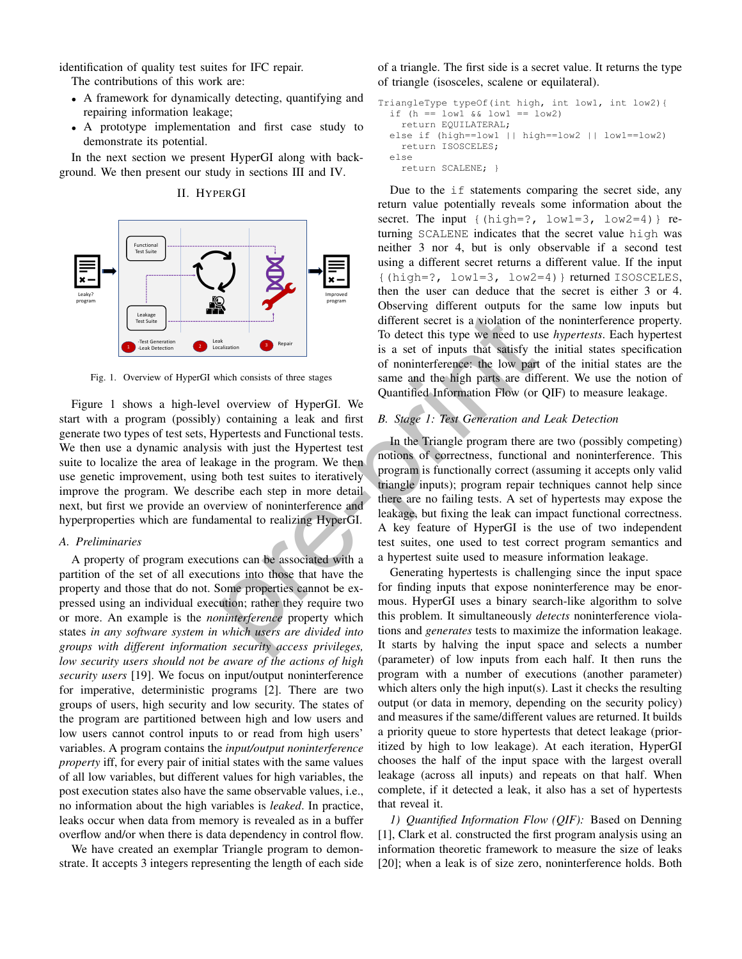identification of quality test suites for IFC repair.

The contributions of this work are:

- A framework for dynamically detecting, quantifying and repairing information leakage;
- A prototype implementation and first case study to demonstrate its potential.

In the next section we present HyperGI along with background. We then present our study in sections III and IV.

II. HYPERGI



Fig. 1. Overview of HyperGI which consists of three stages

Figure 1 shows a high-level overview of HyperGI. We start with a program (possibly) containing a leak and first generate two types of test sets, Hypertests and Functional tests. We then use a dynamic analysis with just the Hypertest test suite to localize the area of leakage in the program. We then use genetic improvement, using both test suites to iteratively improve the program. We describe each step in more detail next, but first we provide an overview of noninterference and hyperproperties which are fundamental to realizing HyperGI.

#### *A. Preliminaries*

A property of program executions can be associated with a partition of the set of all executions into those that have the property and those that do not. Some properties cannot be expressed using an individual execution; rather they require two or more. An example is the *noninterference* property which states *in any software system in which users are divided into groups with different information security access privileges, low security users should not be aware of the actions of high security users* [19]. We focus on input/output noninterference for imperative, deterministic programs [2]. There are two groups of users, high security and low security. The states of the program are partitioned between high and low users and low users cannot control inputs to or read from high users' variables. A program contains the *input/output noninterference property* iff, for every pair of initial states with the same values of all low variables, but different values for high variables, the post execution states also have the same observable values, i.e., no information about the high variables is *leaked*. In practice, leaks occur when data from memory is revealed as in a buffer overflow and/or when there is data dependency in control flow.

We have created an exemplar Triangle program to demonstrate. It accepts 3 integers representing the length of each side of a triangle. The first side is a secret value. It returns the type of triangle (isosceles, scalene or equilateral).

```
TriangleType typeOf(int high, int low1, int low2){
  if (h == low1 & low1 == low2)
    return EQUILATERAL;
  else if (high==low1 || high==low2 || low1==low2)
    return ISOSCELES;
  else
    return SCALENE; }
```
Due to the if statements comparing the secret side, any return value potentially reveals some information about the secret. The input  $\{(\text{high=?, low1=3, low2=4})\}$  returning SCALENE indicates that the secret value high was neither 3 nor 4, but is only observable if a second test using a different secret returns a different value. If the input {(high=?, low1=3, low2=4)} returned ISOSCELES, then the user can deduce that the secret is either 3 or 4. Observing different outputs for the same low inputs but different secret is a violation of the noninterference property. To detect this type we need to use *hypertests*. Each hypertest is a set of inputs that satisfy the initial states specification of noninterference: the low part of the initial states are the same and the high parts are different. We use the notion of Quantified Information Flow (or QIF) to measure leakage.

# *B. Stage 1: Test Generation and Leak Detection*

In the Triangle program there are two (possibly competing) notions of correctness, functional and noninterference. This program is functionally correct (assuming it accepts only valid triangle inputs); program repair techniques cannot help since there are no failing tests. A set of hypertests may expose the leakage, but fixing the leak can impact functional correctness. A key feature of HyperGI is the use of two independent test suites, one used to test correct program semantics and a hypertest suite used to measure information leakage. **Example 12**<br> **Example 12**<br> **Example 12**<br> **Example 12**<br> **Example 12**<br> **Example 12**<br> **Example 12**<br> **Example 12**<br> **Example 12**<br> **Example 12**<br> **Example 12**<br> **Example 12**<br> **Example 12**<br> **Example 12**<br> **Example 12**<br> **Example 12** 

Generating hypertests is challenging since the input space for finding inputs that expose noninterference may be enormous. HyperGI uses a binary search-like algorithm to solve this problem. It simultaneously *detects* noninterference violations and *generates* tests to maximize the information leakage. It starts by halving the input space and selects a number (parameter) of low inputs from each half. It then runs the program with a number of executions (another parameter) which alters only the high input(s). Last it checks the resulting output (or data in memory, depending on the security policy) and measures if the same/different values are returned. It builds a priority queue to store hypertests that detect leakage (prioritized by high to low leakage). At each iteration, HyperGI chooses the half of the input space with the largest overall leakage (across all inputs) and repeats on that half. When complete, if it detected a leak, it also has a set of hypertests that reveal it.

*1) Quantified Information Flow (QIF):* Based on Denning [1], Clark et al. constructed the first program analysis using an information theoretic framework to measure the size of leaks [20]; when a leak is of size zero, noninterference holds. Both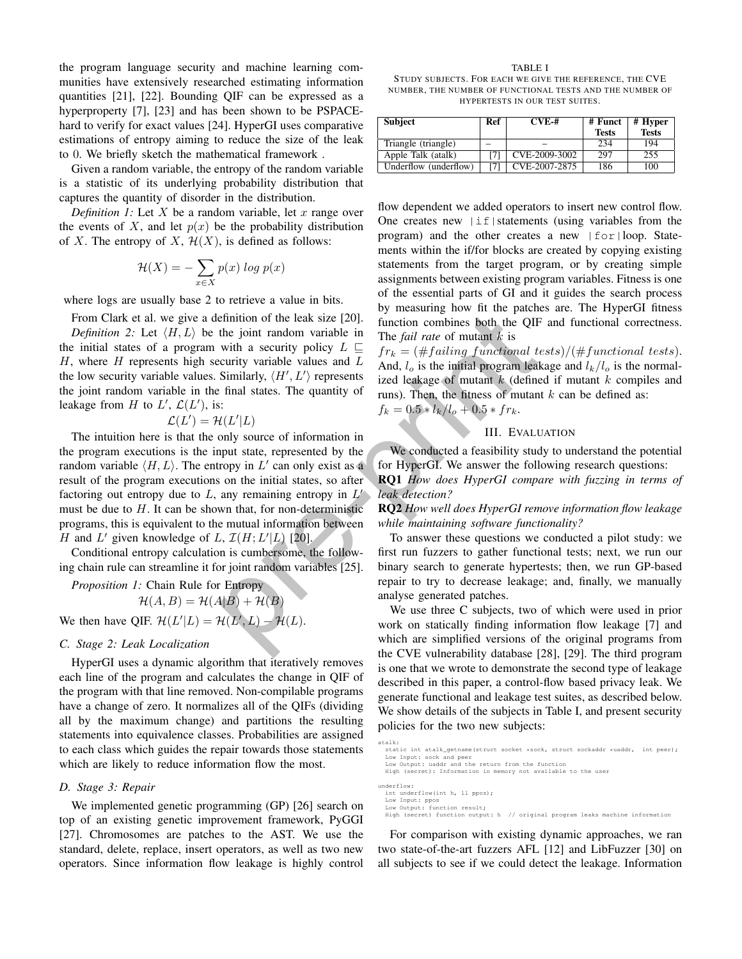the program language security and machine learning communities have extensively researched estimating information quantities [21], [22]. Bounding QIF can be expressed as a hyperproperty [7], [23] and has been shown to be PSPACEhard to verify for exact values [24]. HyperGI uses comparative estimations of entropy aiming to reduce the size of the leak to 0. We briefly sketch the mathematical framework .

Given a random variable, the entropy of the random variable is a statistic of its underlying probability distribution that captures the quantity of disorder in the distribution.

*Definition 1:* Let  $X$  be a random variable, let  $x$  range over the events of X, and let  $p(x)$  be the probability distribution of X. The entropy of X,  $\mathcal{H}(X)$ , is defined as follows:

$$
\mathcal{H}(X) = -\sum_{x \in X} p(x) \log p(x)
$$

where logs are usually base 2 to retrieve a value in bits.

From Clark et al. we give a definition of the leak size [20]. *Definition 2:* Let  $\langle H, L \rangle$  be the joint random variable in the initial states of a program with a security policy  $L \subseteq$  $H$ , where  $H$  represents high security variable values and  $L$ the low security variable values. Similarly,  $\langle H', L' \rangle$  represents the joint random variable in the final states. The quantity of leakage from H to  $L'$ ,  $\mathcal{L}(L')$ , is:

$$
\mathcal{L}(L') = \mathcal{H}(L'|L)
$$

The intuition here is that the only source of information in the program executions is the input state, represented by the random variable  $\langle H, L \rangle$ . The entropy in L' can only exist as a result of the program executions on the initial states, so after factoring out entropy due to  $L$ , any remaining entropy in  $L'$ must be due to  $H$ . It can be shown that, for non-deterministic programs, this is equivalent to the mutual information between H and L' given knowledge of L,  $\mathcal{I}(H; L'|L)$  [20]. efinition of the leak size [20].  $\theta$  the matrix that place is the QH<br>the joint random variable in The *fail rate* of mutant *k* is<br>with a security policy  $L \subseteq f r_k = (\#failing\ function)$  the QH<br>teritive variable values and  $L$  and  $L_o$ 

Conditional entropy calculation is cumbersome, the following chain rule can streamline it for joint random variables [25].

*Proposition 1:* Chain Rule for Entropy  $\mathcal{H}(A, B) = \mathcal{H}(A|B) + \mathcal{H}(B)$ We then have QIF.  $\mathcal{H}(L'|L) = \mathcal{H}(L',L) - \mathcal{H}(L)$ .

# *C. Stage 2: Leak Localization*

HyperGI uses a dynamic algorithm that iteratively removes each line of the program and calculates the change in QIF of the program with that line removed. Non-compilable programs have a change of zero. It normalizes all of the QIFs (dividing all by the maximum change) and partitions the resulting statements into equivalence classes. Probabilities are assigned to each class which guides the repair towards those statements which are likely to reduce information flow the most.

## *D. Stage 3: Repair*

We implemented genetic programming (GP) [26] search on top of an existing genetic improvement framework, PyGGI [27]. Chromosomes are patches to the AST. We use the standard, delete, replace, insert operators, as well as two new operators. Since information flow leakage is highly control

TABLE I STUDY SUBJECTS. FOR EACH WE GIVE THE REFERENCE, THE CVE NUMBER, THE NUMBER OF FUNCTIONAL TESTS AND THE NUMBER OF HYPERTESTS IN OUR TEST SUITES.

| <b>Subject</b>        | Ref | $CVE-#$       | # Funct<br><b>Tests</b> | # Hyper<br><b>Tests</b> |
|-----------------------|-----|---------------|-------------------------|-------------------------|
| Triangle (triangle)   |     |               | 234                     | 194                     |
| Apple Talk (atalk)    |     | CVE-2009-3002 | 297                     | 255                     |
| Underflow (underflow) |     | CVE-2007-2875 | 186                     | 100                     |

flow dependent we added operators to insert new control flow. One creates new  $|\text{if}|$  statements (using variables from the program) and the other creates a new  $|for|loop$ . Statements within the if/for blocks are created by copying existing statements from the target program, or by creating simple assignments between existing program variables. Fitness is one of the essential parts of GI and it guides the search process by measuring how fit the patches are. The HyperGI fitness function combines both the QIF and functional correctness. The *fail rate* of mutant *k* is

 $fr_k = (\# failing\ functional\ tests) / (\#functional\ tests).$ And,  $l_o$  is the initial program leakage and  $l_k/l_o$  is the normalized leakage of mutant  $k$  (defined if mutant  $k$  compiles and runs). Then, the fitness of mutant  $k$  can be defined as:  $f_k = 0.5 * l_k/l_o + 0.5 * fr_k.$ 

III. EVALUATION

We conducted a feasibility study to understand the potential for HyperGI. We answer the following research questions:

RQ1 *How does HyperGI compare with fuzzing in terms of leak detection?*

RQ2 *How well does HyperGI remove information flow leakage while maintaining software functionality?*

To answer these questions we conducted a pilot study: we first run fuzzers to gather functional tests; next, we run our binary search to generate hypertests; then, we run GP-based repair to try to decrease leakage; and, finally, we manually analyse generated patches.

We use three C subjects, two of which were used in prior work on statically finding information flow leakage [7] and which are simplified versions of the original programs from the CVE vulnerability database [28], [29]. The third program is one that we wrote to demonstrate the second type of leakage described in this paper, a control-flow based privacy leak. We generate functional and leakage test suites, as described below. We show details of the subjects in Table I, and present security policies for the two new subjects:

```
atalk:
   static int atalk_getname(struct socket *sock, struct sockaddr *uaddr,  int peer);<br>Low Input: sock and peer<br>Low Output: uaddr and the return from the function
  High (secret): Information in memory not available to the user
underflow:
   int underflow(int h, ll ppos);
Low Input: ppos
Low Output: function result;
  High (secret) function output: h // original program leaks machine information
```
For comparison with existing dynamic approaches, we ran two state-of-the-art fuzzers AFL [12] and LibFuzzer [30] on all subjects to see if we could detect the leakage. Information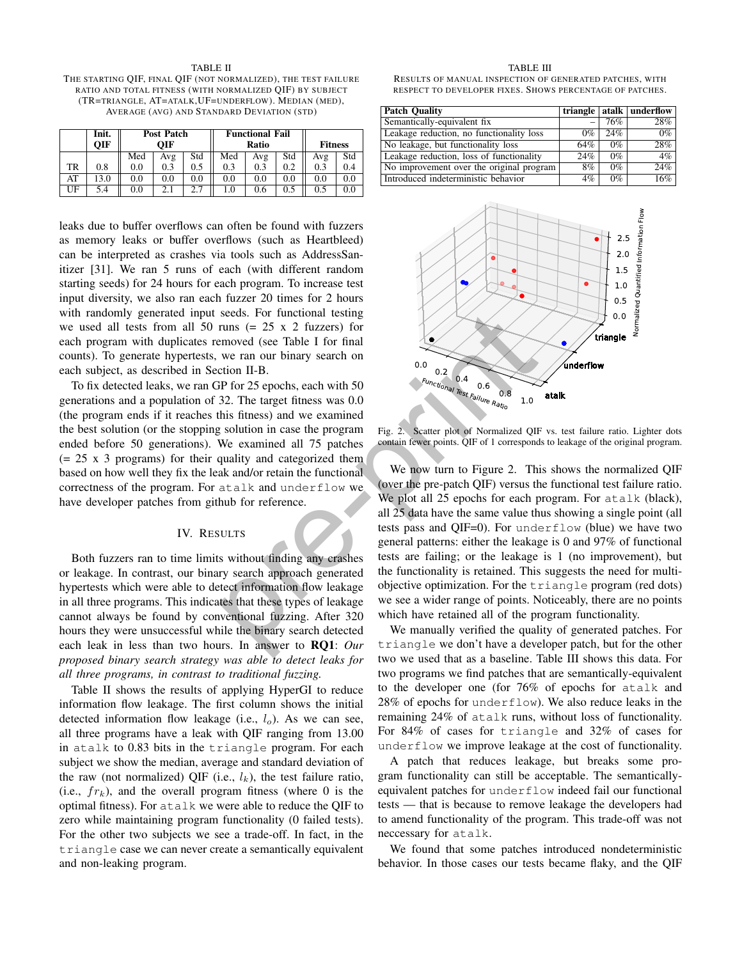TABLE II THE STARTING QIF, FINAL QIF (NOT NORMALIZED), THE TEST FAILURE RATIO AND TOTAL FITNESS (WITH NORMALIZED QIF) BY SUBJECT (TR=TRIANGLE, AT=ATALK,UF=UNDERFLOW). MEDIAN (MED), AVERAGE (AVG) AND STANDARD DEVIATION (STD)

|    | Init.      | Post Patch |     |         | <b>Functional Fail</b> |     |     |                |     |
|----|------------|------------|-----|---------|------------------------|-----|-----|----------------|-----|
|    | <b>OIF</b> | OIF        |     |         | Ratio                  |     |     | <b>Fitness</b> |     |
|    |            | Med        | Avg | Std     | Med                    | Avg | Std | Avg            | Std |
| TR | 0.8        | 0.0        | 0.3 | 0.5     | 0.3                    | 0.3 | 0.2 | 0.3            | 0.4 |
| AT | 13.0       | 0.0        | 0.0 | $0.0\,$ | 0.0                    | 0.0 | 0.0 | 0.0            | 0.0 |
| UF | 5.4        | 0.0        | 2.1 |         | 1.0                    | 0.6 | 0.5 | 0.5            |     |

leaks due to buffer overflows can often be found with fuzzers as memory leaks or buffer overflows (such as Heartbleed) can be interpreted as crashes via tools such as AddressSanitizer [31]. We ran 5 runs of each (with different random starting seeds) for 24 hours for each program. To increase test input diversity, we also ran each fuzzer 20 times for 2 hours with randomly generated input seeds. For functional testing we used all tests from all 50 runs  $(= 25 \times 2 \text{ fuzzy})$  for each program with duplicates removed (see Table I for final counts). To generate hypertests, we ran our binary search on each subject, as described in Section II-B.

To fix detected leaks, we ran GP for 25 epochs, each with 50 generations and a population of 32. The target fitness was 0.0 (the program ends if it reaches this fitness) and we examined the best solution (or the stopping solution in case the program ended before 50 generations). We examined all 75 patches (= 25 x 3 programs) for their quality and categorized them based on how well they fix the leak and/or retain the functional correctness of the program. For atalk and underflow we have developer patches from github for reference.

## IV. RESULTS

Both fuzzers ran to time limits without finding any crashes or leakage. In contrast, our binary search approach generated hypertests which were able to detect information flow leakage in all three programs. This indicates that these types of leakage cannot always be found by conventional fuzzing. After 320 hours they were unsuccessful while the binary search detected each leak in less than two hours. In answer to RQ1: *Our proposed binary search strategy was able to detect leaks for all three programs, in contrast to traditional fuzzing.*

Table II shows the results of applying HyperGI to reduce information flow leakage. The first column shows the initial detected information flow leakage (i.e.,  $l_o$ ). As we can see, all three programs have a leak with QIF ranging from 13.00 in atalk to 0.83 bits in the triangle program. For each subject we show the median, average and standard deviation of the raw (not normalized) QIF (i.e.,  $l_k$ ), the test failure ratio, (i.e.,  $fr_k$ ), and the overall program fitness (where 0 is the optimal fitness). For atalk we were able to reduce the QIF to zero while maintaining program functionality (0 failed tests). For the other two subjects we see a trade-off. In fact, in the triangle case we can never create a semantically equivalent and non-leaking program.

#### TABLE III

RESULTS OF MANUAL INSPECTION OF GENERATED PATCHES, WITH RESPECT TO DEVELOPER FIXES. SHOWS PERCENTAGE OF PATCHES.

| <b>Patch Quality</b>                     |       |       | triangle   atalk   underflow |
|------------------------------------------|-------|-------|------------------------------|
| Semantically-equivalent fix              |       | 76%   | 28%                          |
| Leakage reduction, no functionality loss | $0\%$ | 24%   | $0\%$                        |
| No leakage, but functionality loss       | 64%   | $0\%$ | 28%                          |
| Leakage reduction, loss of functionality | 24%   | $0\%$ | 4%                           |
| No improvement over the original program | 8%    | $0\%$ | 24%                          |
| Introduced indeterministic behavior      | 4%    | $0\%$ | 16%                          |



Fig. 2. Scatter plot of Normalized QIF vs. test failure ratio. Lighter dots contain fewer points. QIF of 1 corresponds to leakage of the original program.

We now turn to Figure 2. This shows the normalized QIF (over the pre-patch QIF) versus the functional test failure ratio. We plot all 25 epochs for each program. For atalk (black), all 25 data have the same value thus showing a single point (all tests pass and QIF=0). For underflow (blue) we have two general patterns: either the leakage is 0 and 97% of functional tests are failing; or the leakage is 1 (no improvement), but the functionality is retained. This suggests the need for multiobjective optimization. For the triangle program (red dots) we see a wider range of points. Noticeably, there are no points which have retained all of the program functionality. seeds. For functional testing<br>
runs (= 25 x 2 fuzzers) for<br>
erange (see Table I for final<br>
we ran our binary search on<br>
tion II-B.<br>
iP for 25 epochs, each with 50<br>
22. The target fitness was 0.0<br>
this fitness) and we exam

We manually verified the quality of generated patches. For triangle we don't have a developer patch, but for the other two we used that as a baseline. Table III shows this data. For two programs we find patches that are semantically-equivalent to the developer one (for 76% of epochs for atalk and 28% of epochs for underflow). We also reduce leaks in the remaining 24% of atalk runs, without loss of functionality. For 84% of cases for triangle and 32% of cases for underflow we improve leakage at the cost of functionality.

A patch that reduces leakage, but breaks some program functionality can still be acceptable. The semanticallyequivalent patches for underflow indeed fail our functional tests — that is because to remove leakage the developers had to amend functionality of the program. This trade-off was not neccessary for atalk.

We found that some patches introduced nondeterministic behavior. In those cases our tests became flaky, and the QIF